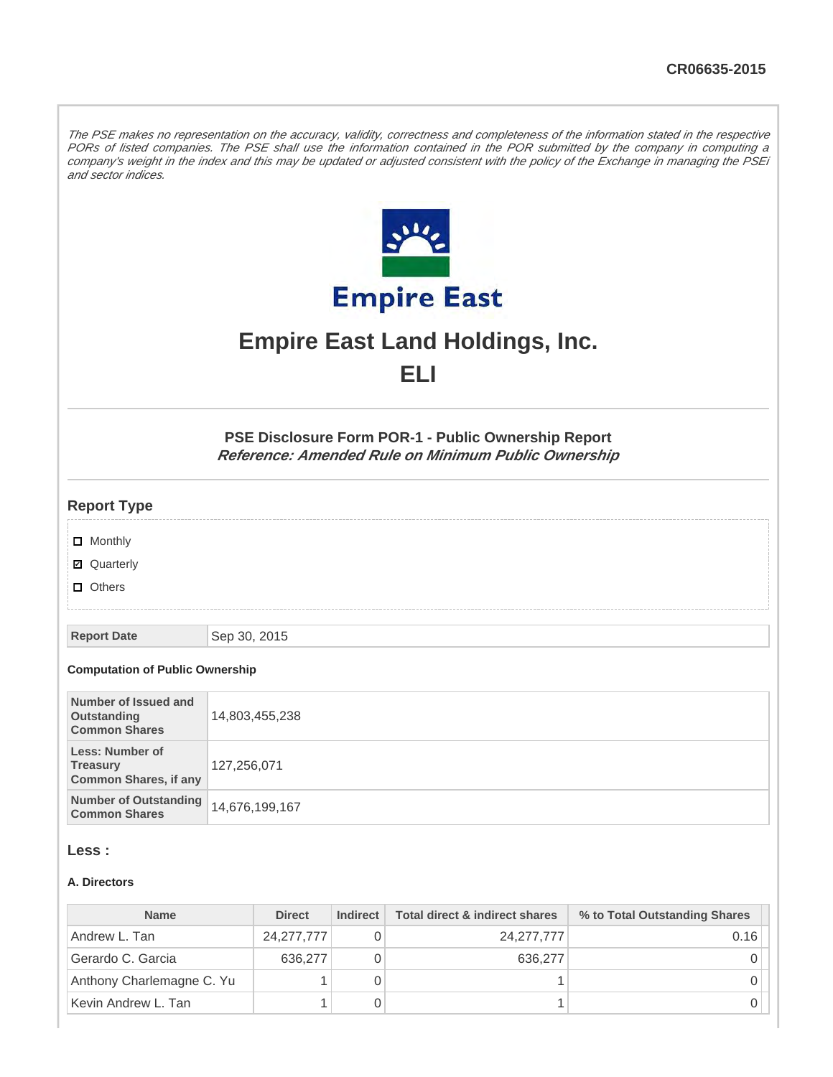The PSE makes no representation on the accuracy, validity, correctness and completeness of the information stated in the respective PORs of listed companies. The PSE shall use the information contained in the POR submitted by the company in computing a company's weight in the index and this may be updated or adjusted consistent with the policy of the Exchange in managing the PSEi and sector indices.



# **Empire East Land Holdings, Inc. ELI**

**PSE Disclosure Form POR-1 - Public Ownership Report Reference: Amended Rule on Minimum Public Ownership**

# **Report Type**

- **D** Monthly
- Quarterly
- **D** Others

**Report Date** Sep 30, 2015

#### **Computation of Public Ownership**

| Number of Issued and<br>Outstanding<br><b>Common Shares</b>               | 14,803,455,238 |
|---------------------------------------------------------------------------|----------------|
| <b>Less: Number of</b><br><b>Treasury</b><br><b>Common Shares, if any</b> | 127,256,071    |
| <b>Number of Outstanding</b><br><b>Common Shares</b>                      | 14,676,199,167 |

#### **Less :**

#### **A. Directors**

| <b>Name</b>               | <b>Direct</b> | Indirect | Total direct & indirect shares | % to Total Outstanding Shares |
|---------------------------|---------------|----------|--------------------------------|-------------------------------|
| Andrew L. Tan             | 24, 277, 777  |          | 24, 277, 777                   | 0.16                          |
| Gerardo C. Garcia         | 636,277       |          | 636,277                        |                               |
| Anthony Charlemagne C. Yu |               |          |                                |                               |
| Kevin Andrew L. Tan       |               |          |                                |                               |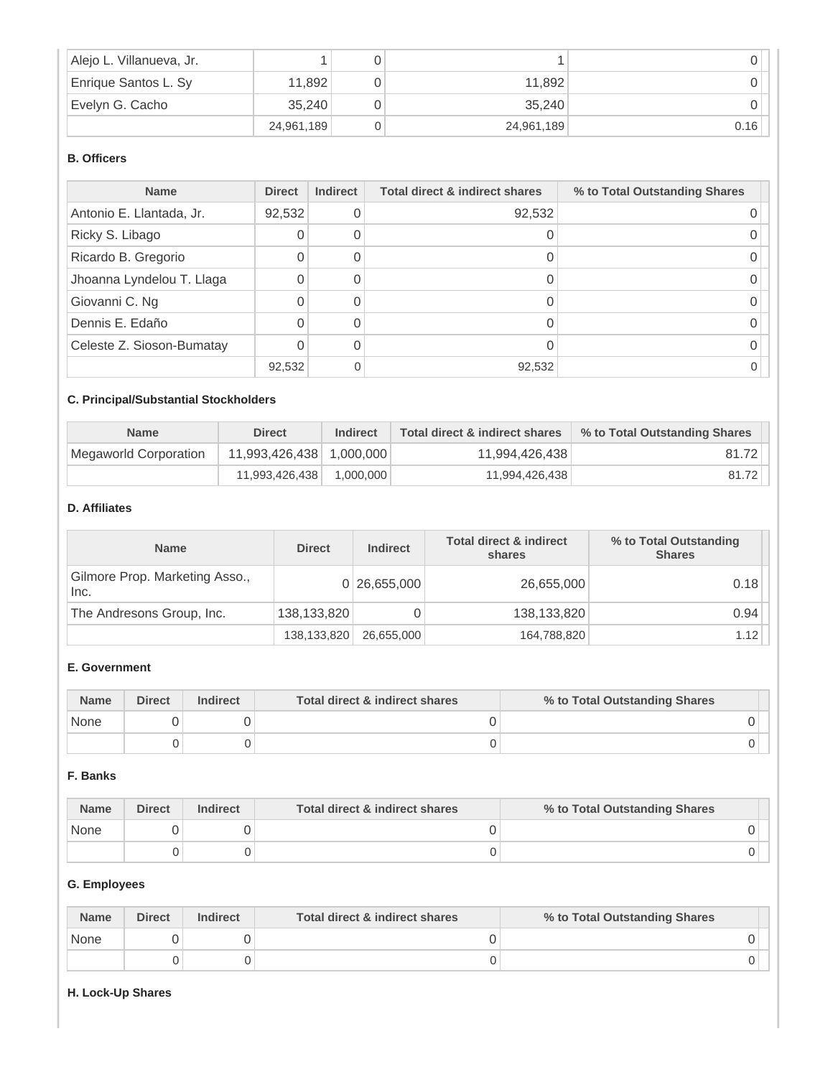| Alejo L. Villanueva, Jr. |            |            |      |
|--------------------------|------------|------------|------|
| Enrique Santos L. Sy     | 11,892     | 11.892     |      |
| Evelyn G. Cacho          | 35.240     | 35.240     |      |
|                          | 24,961,189 | 24,961,189 | 0.16 |

# **B. Officers**

| <b>Name</b>               | <b>Direct</b> | <b>Indirect</b> | <b>Total direct &amp; indirect shares</b> | % to Total Outstanding Shares |
|---------------------------|---------------|-----------------|-------------------------------------------|-------------------------------|
| Antonio E. Llantada, Jr.  | 92,532        |                 | 92,532                                    |                               |
| Ricky S. Libago           |               |                 |                                           |                               |
| Ricardo B. Gregorio       |               |                 |                                           |                               |
| Jhoanna Lyndelou T. Llaga |               |                 |                                           |                               |
| Giovanni C. Ng            |               |                 |                                           |                               |
| Dennis E. Edaño           |               |                 |                                           |                               |
| Celeste Z. Sioson-Bumatay |               |                 |                                           |                               |
|                           | 92,532        |                 | 92,532                                    |                               |

# **C. Principal/Substantial Stockholders**

| <b>Name</b>           | <b>Direct</b>            | Indirect  | Total direct & indirect shares | % to Total Outstanding Shares |
|-----------------------|--------------------------|-----------|--------------------------------|-------------------------------|
| Megaworld Corporation | 11,993,426,438 1,000,000 |           | 11.994.426.438                 | 81.72                         |
|                       | 11,993,426,438           | 1.000.000 | 11,994,426,438                 | 81.72                         |

### **D. Affiliates**

| <b>Name</b>                            | <b>Direct</b> | <b>Indirect</b> | <b>Total direct &amp; indirect</b><br>shares | % to Total Outstanding<br><b>Shares</b> |
|----------------------------------------|---------------|-----------------|----------------------------------------------|-----------------------------------------|
| Gilmore Prop. Marketing Asso.,<br>Inc. |               | 0 26,655,000    | 26,655,000                                   | 0.18                                    |
| The Andresons Group, Inc.              | 138,133,820   |                 | 138,133,820                                  | 0.94                                    |
|                                        | 138,133,820   | 26,655,000      | 164,788,820                                  | 1.12                                    |

# **E. Government**

| <b>Name</b> | <b>Direct</b> | <b>Indirect</b> | Total direct & indirect shares | % to Total Outstanding Shares |
|-------------|---------------|-----------------|--------------------------------|-------------------------------|
| None        |               |                 |                                |                               |
|             |               |                 |                                |                               |

# **F. Banks**

| <b>Name</b> | <b>Direct</b> | <b>Indirect</b> | Total direct & indirect shares | % to Total Outstanding Shares |
|-------------|---------------|-----------------|--------------------------------|-------------------------------|
| None        |               |                 |                                |                               |
|             |               |                 |                                |                               |

# **G. Employees**

| <b>Name</b> | <b>Direct</b> | <b>Indirect</b> | Total direct & indirect shares | % to Total Outstanding Shares |
|-------------|---------------|-----------------|--------------------------------|-------------------------------|
| None        |               |                 |                                |                               |
|             |               |                 |                                |                               |

#### **H. Lock-Up Shares**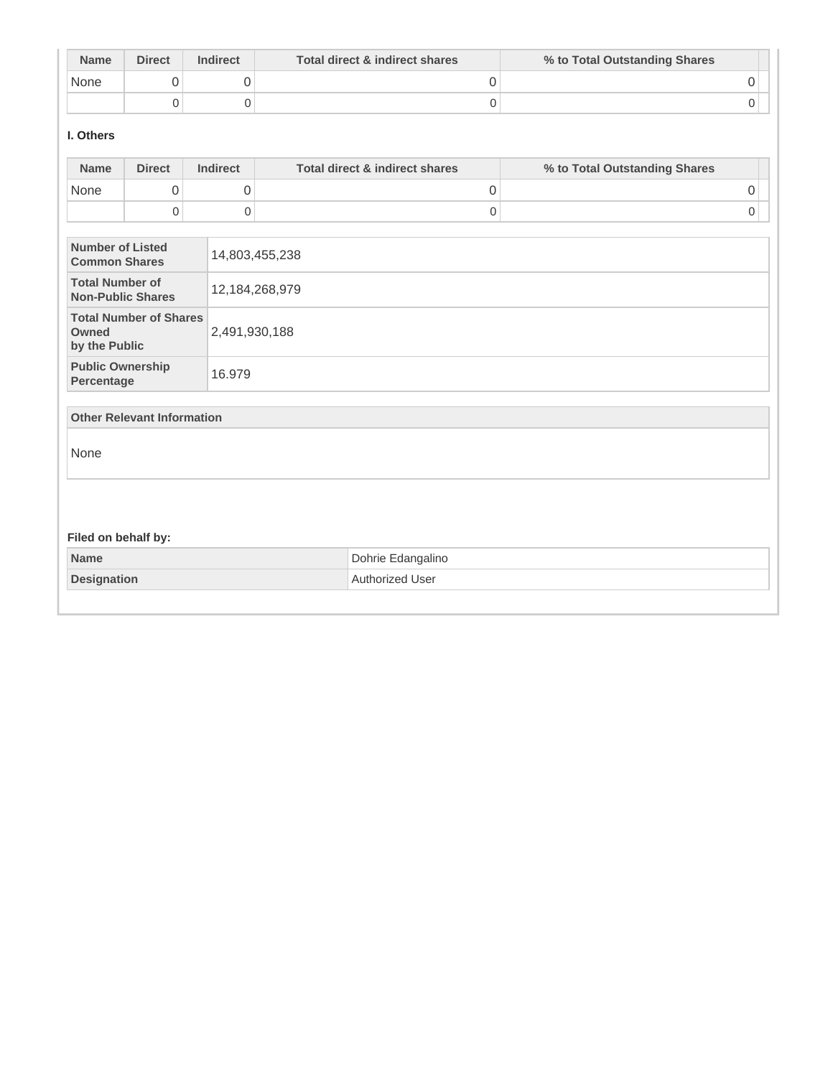| <b>Name</b> | <b>Direct</b> | <b>Indirect</b> | Total direct & indirect shares | % to Total Outstanding Shares |
|-------------|---------------|-----------------|--------------------------------|-------------------------------|
| None        |               |                 |                                |                               |
|             |               |                 |                                |                               |

# **I. Others**

| <b>Name</b>                                        | <b>Direct</b>                     | <b>Indirect</b>     | <b>Total direct &amp; indirect shares</b> | % to Total Outstanding Shares |
|----------------------------------------------------|-----------------------------------|---------------------|-------------------------------------------|-------------------------------|
| None                                               | 0                                 | 0                   | 0                                         | 0                             |
|                                                    | $\mathbf 0$                       | $\mathsf{O}\xspace$ | $\mathsf 0$                               | 0                             |
| <b>Number of Listed</b><br><b>Common Shares</b>    |                                   |                     | 14,803,455,238                            |                               |
| <b>Total Number of</b><br><b>Non-Public Shares</b> |                                   |                     | 12, 184, 268, 979                         |                               |
| Owned<br>by the Public                             | <b>Total Number of Shares</b>     | 2,491,930,188       |                                           |                               |
| <b>Public Ownership</b><br>Percentage              |                                   | 16.979              |                                           |                               |
|                                                    | <b>Other Relevant Information</b> |                     |                                           |                               |
| None                                               |                                   |                     |                                           |                               |
|                                                    |                                   |                     |                                           |                               |
| Filed on behalf by:                                |                                   |                     |                                           |                               |
| <b>Name</b>                                        |                                   |                     | Dohrie Edangalino                         |                               |
| <b>Designation</b>                                 |                                   |                     | Authorized User                           |                               |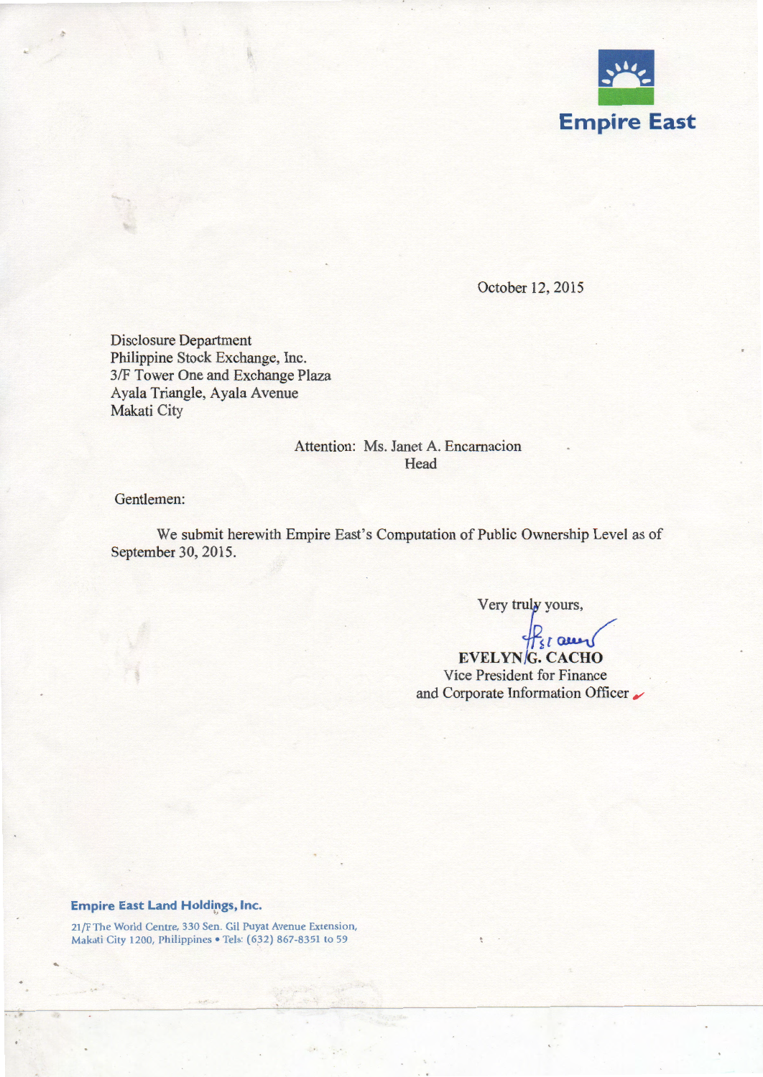

October 12, 2015

Disclosure Department Philippine Stock Exchange, Inc. 3/F Tower One and Exchange Plaza Ayala Triangle, Ayala Avenue Makati City

# Attention: Ms. Janet A. Encarnacion **Head**

Gentlemen:

We submit herewith Empire East's Computation of Public Ownership Level as of September 30,2015.

Very truly yours,

~[~ **EVELYN G. CACHO**  Vice President for Finance and Corporate Information Officer **6/** 

#### **Empire East Land Holdings, Inc.**

21 /F The World Centre, 330 Sen. Gil Puyat Avenue Extension, Makati City 1200, Philippines • Tels: (632) 867-8351 to 59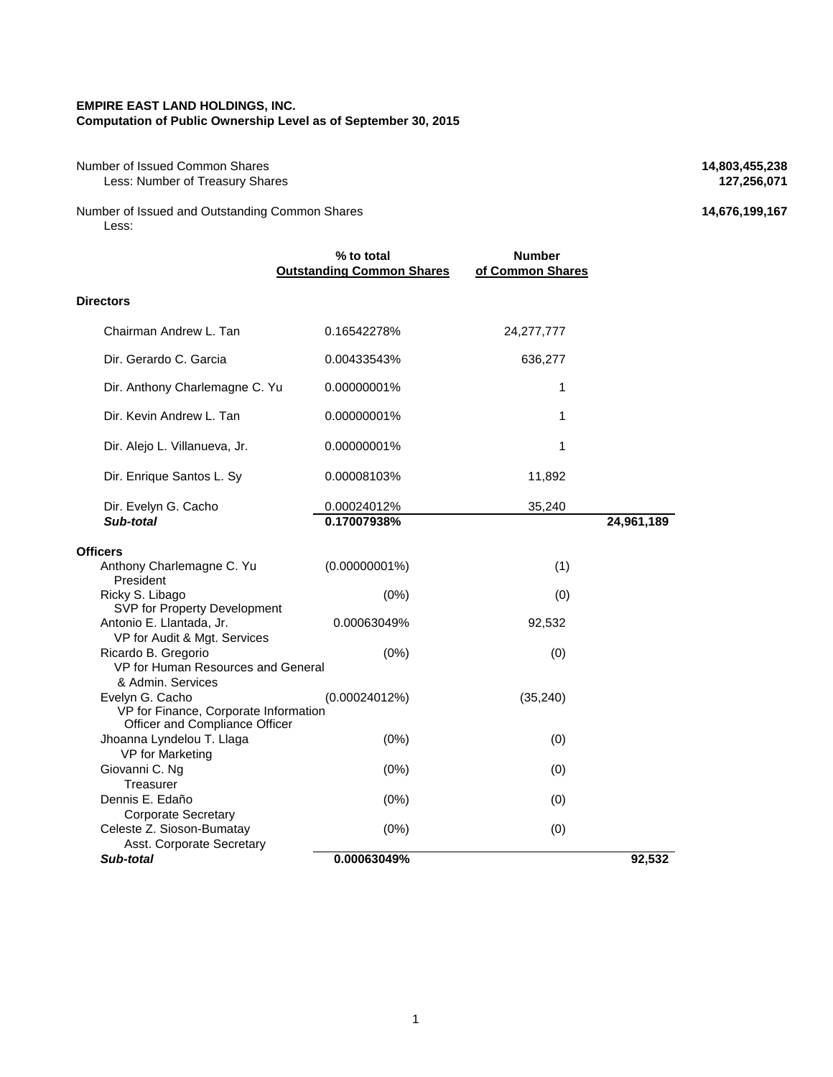#### **EMPIRE EAST LAND HOLDINGS, INC. Computation of Public Ownership Level as of September 30, 2015**

Number of Issued Common Shares **14,803,455,238**<br>Less: Number of Treasury Shares **127,256,071 127,256,071 Less: Number of Treasury Shares** 

Number of Issued and Outstanding Common Shares **14,676,199,167** Less:

|                                                                                            | % to total<br><b>Outstanding Common Shares</b> | <b>Number</b><br>of Common Shares |            |
|--------------------------------------------------------------------------------------------|------------------------------------------------|-----------------------------------|------------|
| <b>Directors</b>                                                                           |                                                |                                   |            |
| Chairman Andrew L. Tan                                                                     | 0.16542278%                                    | 24, 277, 777                      |            |
| Dir. Gerardo C. Garcia                                                                     | 0.00433543%                                    | 636,277                           |            |
| Dir. Anthony Charlemagne C. Yu                                                             | 0.00000001%                                    | 1                                 |            |
| Dir. Kevin Andrew L. Tan                                                                   | 0.00000001%                                    | 1                                 |            |
| Dir. Alejo L. Villanueva, Jr.                                                              | 0.00000001%                                    | 1                                 |            |
| Dir. Enrique Santos L. Sy                                                                  | 0.00008103%                                    | 11,892                            |            |
| Dir. Evelyn G. Cacho                                                                       | 0.00024012%                                    | 35,240                            |            |
| Sub-total                                                                                  | 0.17007938%                                    |                                   | 24,961,189 |
| Officers                                                                                   |                                                |                                   |            |
| Anthony Charlemagne C. Yu<br>President                                                     | $(0.00000001\%)$                               | (1)                               |            |
| Ricky S. Libago                                                                            | (0%)                                           | (0)                               |            |
| SVP for Property Development<br>Antonio E. Llantada, Jr.<br>VP for Audit & Mgt. Services   | 0.00063049%                                    | 92,532                            |            |
| Ricardo B. Gregorio<br>VP for Human Resources and General<br>& Admin, Services             | (0%)                                           | (0)                               |            |
| Evelyn G. Cacho<br>VP for Finance, Corporate Information<br>Officer and Compliance Officer | (0.00024012%)                                  | (35, 240)                         |            |
| Jhoanna Lyndelou T. Llaga<br>VP for Marketing                                              | (0%)                                           | (0)                               |            |
| Giovanni C. Ng<br>Treasurer                                                                | (0%)                                           | (0)                               |            |
| Dennis E. Edaño<br><b>Corporate Secretary</b>                                              | (0%)                                           | (0)                               |            |
| Celeste Z. Sioson-Bumatay<br>Asst. Corporate Secretary                                     | $(0\%)$                                        | (0)                               |            |
| Sub-total                                                                                  | 0.00063049%                                    |                                   | 92,532     |